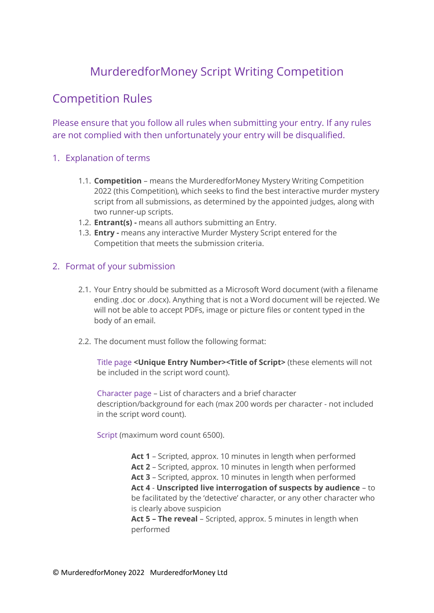# MurderedforMoney Script Writing Competition

# Competition Rules

Please ensure that you follow all rules when submitting your entry. If any rules are not complied with then unfortunately your entry will be disqualified.

## 1. Explanation of terms

- 1.1. **Competition** means the MurderedforMoney Mystery Writing Competition 2022 (this Competition), which seeks to find the best interactive murder mystery script from all submissions, as determined by the appointed judges, along with two runner-up scripts.
- 1.2. **Entrant(s) -** means all authors submitting an Entry.
- 1.3. **Entry -** means any interactive Murder Mystery Script entered for the Competition that meets the submission criteria.

## 2. Format of your submission

- 2.1. Your Entry should be submitted as a Microsoft Word document (with a filename ending .doc or .docx). Anything that is not a Word document will be rejected. We will not be able to accept PDFs, image or picture files or content typed in the body of an email.
- 2.2. The document must follow the following format:

Title page **<Unique Entry Number><Title of Script>** (these elements will not be included in the script word count).

Character page – List of characters and a brief character description/background for each (max 200 words per character - not included in the script word count).

Script (maximum word count 6500).

**Act 1** – Scripted, approx. 10 minutes in length when performed **Act 2** – Scripted, approx. 10 minutes in length when performed **Act 3** – Scripted, approx. 10 minutes in length when performed **Act 4** - **Unscripted live interrogation of suspects by audience** – to be facilitated by the 'detective' character, or any other character who is clearly above suspicion **Act 5 – The reveal** – Scripted, approx. 5 minutes in length when

performed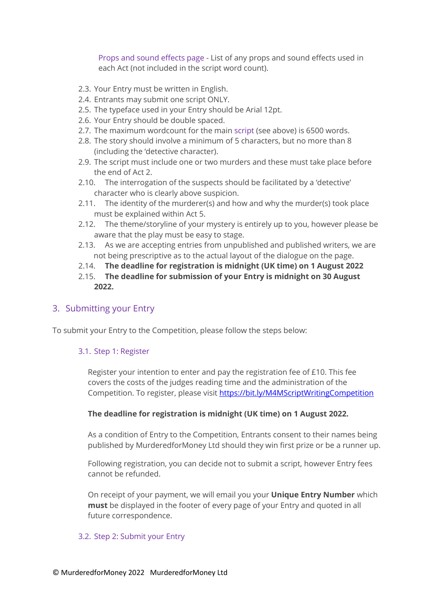Props and sound effects page - List of any props and sound effects used in each Act (not included in the script word count).

- 2.3. Your Entry must be written in English.
- 2.4. Entrants may submit one script ONLY.
- 2.5. The typeface used in your Entry should be Arial 12pt.
- 2.6. Your Entry should be double spaced.
- 2.7. The maximum wordcount for the main script (see above) is 6500 words.
- 2.8. The story should involve a minimum of 5 characters, but no more than 8 (including the 'detective character).
- 2.9. The script must include one or two murders and these must take place before the end of Act 2.
- 2.10. The interrogation of the suspects should be facilitated by a 'detective' character who is clearly above suspicion.
- 2.11. The identity of the murderer(s) and how and why the murder(s) took place must be explained within Act 5.
- 2.12. The theme/storyline of your mystery is entirely up to you, however please be aware that the play must be easy to stage.
- 2.13. As we are accepting entries from unpublished and published writers, we are not being prescriptive as to the actual layout of the dialogue on the page.
- 2.14. **The deadline for registration is midnight (UK time) on 1 August 2022**
- 2.15. **The deadline for submission of your Entry is midnight on 30 August 2022.**

### 3. Submitting your Entry

To submit your Entry to the Competition, please follow the steps below:

#### 3.1. Step 1: Register

Register your intention to enter and pay the registration fee of £10. This fee covers the costs of the judges reading time and the administration of the Competition. To register, please visit<https://bit.ly/M4MScriptWritingCompetition>

#### **The deadline for registration is midnight (UK time) on 1 August 2022.**

As a condition of Entry to the Competition, Entrants consent to their names being published by MurderedforMoney Ltd should they win first prize or be a runner up.

Following registration, you can decide not to submit a script, however Entry fees cannot be refunded.

On receipt of your payment, we will email you your **Unique Entry Number** which **must** be displayed in the footer of every page of your Entry and quoted in all future correspondence.

#### 3.2. Step 2: Submit your Entry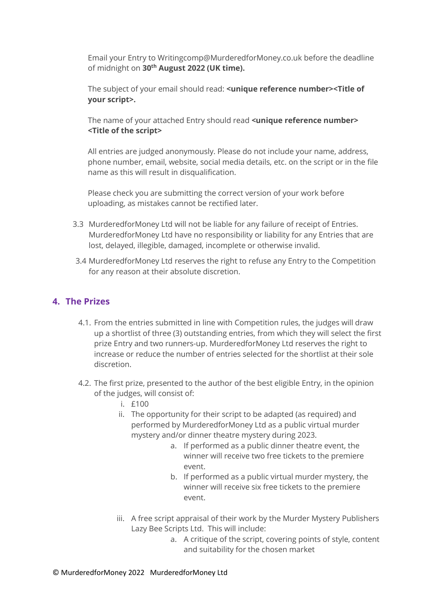Email your Entry to [Writingcomp@MurderedforMoney.co.uk](mailto:Writingcomp@MurderedforMoney.co.uk) before the deadline of midnight on **30th August 2022 (UK time).** 

The subject of your email should read: **<unique reference number><Title of your script>.**

The name of your attached Entry should read **<unique reference number> <Title of the script>**

All entries are judged anonymously. Please do not include your name, address, phone number, email, website, social media details, etc. on the script or in the file name as this will result in disqualification.

Please check you are submitting the correct version of your work before uploading, as mistakes cannot be rectified later.

- 3.3 MurderedforMoney Ltd will not be liable for any failure of receipt of Entries. MurderedforMoney Ltd have no responsibility or liability for any Entries that are lost, delayed, illegible, damaged, incomplete or otherwise invalid.
- 3.4 MurderedforMoney Ltd reserves the right to refuse any Entry to the Competition for any reason at their absolute discretion.

## **4. The Prizes**

- 4.1. From the entries submitted in line with Competition rules, the judges will draw up a shortlist of three (3) outstanding entries, from which they will select the first prize Entry and two runners-up. MurderedforMoney Ltd reserves the right to increase or reduce the number of entries selected for the shortlist at their sole discretion.
- 4.2. The first prize, presented to the author of the best eligible Entry, in the opinion of the judges, will consist of:
	- i. £100
	- ii. The opportunity for their script to be adapted (as required) and performed by MurderedforMoney Ltd as a public virtual murder mystery and/or dinner theatre mystery during 2023.
		- a. If performed as a public dinner theatre event, the winner will receive two free tickets to the premiere event.
		- b. If performed as a public virtual murder mystery, the winner will receive six free tickets to the premiere event.
	- iii. A free script appraisal of their work by the Murder Mystery Publishers Lazy Bee Scripts Ltd. This will include:
		- a. A critique of the script, covering points of style, content and suitability for the chosen market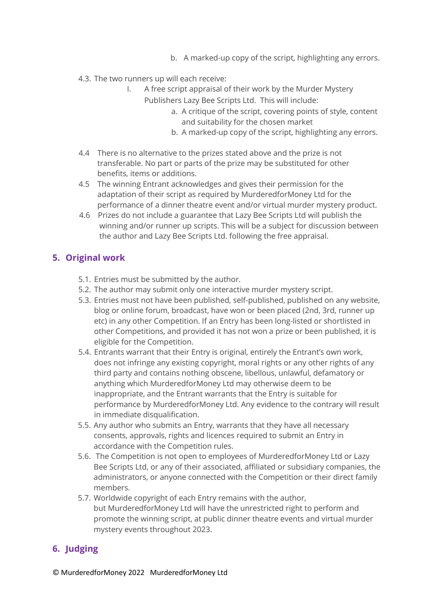- b. A marked-up copy of the script, highlighting any errors.
- 4.3. The two runners up will each receive:
	- I. A free script appraisal of their work by the Murder Mystery
		- Publishers Lazy Bee Scripts Ltd. This will include:
			- a. A critique of the script, covering points of style, content and suitability for the chosen market
			- b. A marked-up copy of the script, highlighting any errors.
- 4.4 There is no alternative to the prizes stated above and the prize is not transferable. No part or parts of the prize may be substituted for other benefits, items or additions.
- 4.5 The winning Entrant acknowledges and gives their permission for the adaptation of their script as required by MurderedforMoney Ltd for the performance of a dinner theatre event and/or virtual murder mystery product.
- 4.6 Prizes do not include a guarantee that Lazy Bee Scripts Ltd will publish the winning and/or runner up scripts. This will be a subject for discussion between the author and Lazy Bee Scripts Ltd. following the free appraisal.

## **5. Original work**

- 5.1. Entries must be submitted by the author.
- 5.2. The author may submit only one interactive murder mystery script.
- 5.3. Entries must not have been published, self-published, published on any website, blog or online forum, broadcast, have won or been placed (2nd, 3rd, runner up etc) in any other Competition. If an Entry has been long-listed or shortlisted in other Competitions, and provided it has not won a prize or been published, it is eligible for the Competition.
- 5.4. Entrants warrant that their Entry is original, entirely the Entrant's own work, does not infringe any existing copyright, moral rights or any other rights of any third party and contains nothing obscene, libellous, unlawful, defamatory or anything which MurderedforMoney Ltd may otherwise deem to be inappropriate, and the Entrant warrants that the Entry is suitable for performance by MurderedforMoney Ltd. Any evidence to the contrary will result in immediate disqualification.
- 5.5. Any author who submits an Entry, warrants that they have all necessary consents, approvals, rights and licences required to submit an Entry in accordance with the Competition rules.
- 5.6. The Competition is not open to employees of MurderedforMoney Ltd or Lazy Bee Scripts Ltd, or any of their associated, affiliated or subsidiary companies, the administrators, or anyone connected with the Competition or their direct family members.
- 5.7. Worldwide copyright of each Entry remains with the author, but MurderedforMoney Ltd will have the unrestricted right to perform and promote the winning script, at public dinner theatre events and virtual murder mystery events throughout 2023.

# **6. Judging**